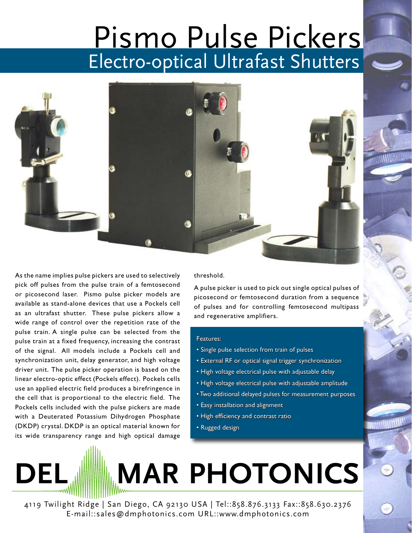## Pismo Pulse Pickers Electro-optical Ultrafast Shutters



As the name implies pulse pickers are used to selectively pick off pulses from the pulse train of a femtosecond or picosecond laser. Pismo pulse picker models are available as stand-alone devices that use a Pockels cell as an ultrafast shutter. These pulse pickers allow a wide range of control over the repetition rate of the pulse train. A single pulse can be selected from the pulse train at a fixed frequency, increasing the contrast of the signal. All models include a Pockels cell and synchronization unit, delay generator, and high voltage driver unit. The pulse picker operation is based on the linear electro-optic effect (Pockels effect). Pockels cells use an applied electric field produces a birefringence in the cell that is proportional to the electric field. The Pockels cells included with the pulse pickers are made with a Deuterated Potassium Dihydrogen Phosphate (DKDP) crystal. DKDP is an optical material known for its wide transparency range and high optical damage threshold.

A pulse picker is used to pick out single optical pulses of picosecond or femtosecond duration from a sequence of pulses and for controlling femtosecond multipass and regenerative amplifiers.

## Features:

- Single pulse selection from train of pulses
- External RF or optical signal trigger synchronization
- High voltage electrical pulse with adjustable delay
- High voltage electrical pulse with adjustable amplitude
- Two additional delayed pulses for measurement purposes
- Easy installation and alignment
- High efficiency and contrast ratio
- Rugged design

## **DEL MAR PHOTONICS**

4119 Twilight Ridge | San Diego, CA 92130 USA | Tel::858.876.3133 Fax::858.630.2376 E-mail::sales@dmphotonics.com URL::www.dmphotonics.com